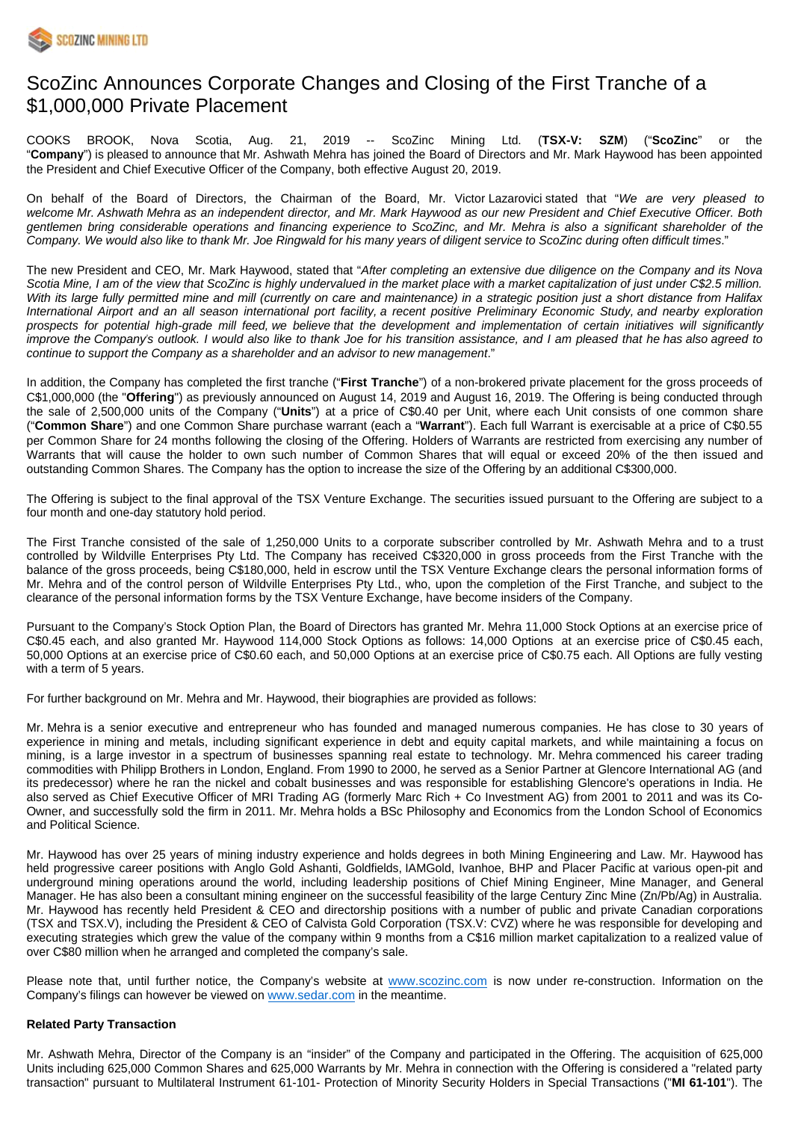

# ScoZinc Announces Corporate Changes and Closing of the First Tranche of a \$1,000,000 Private Placement

COOKS BROOK, Nova Scotia, Aug. 21, 2019 -- ScoZinc Mining Ltd. (**TSX-V: SZM**) ("**ScoZinc**" or the "**Company**") is pleased to announce that Mr. Ashwath Mehra has joined the Board of Directors and Mr. Mark Haywood has been appointed the President and Chief Executive Officer of the Company, both effective August 20, 2019.

On behalf of the Board of Directors, the Chairman of the Board, Mr. Victor Lazarovici stated that "We are very pleased to welcome Mr. Ashwath Mehra as an independent director, and Mr. Mark Haywood as our new President and Chief Executive Officer. Both gentlemen bring considerable operations and financing experience to ScoZinc, and Mr. Mehra is also a significant shareholder of the Company. We would also like to thank Mr. Joe Ringwald for his many years of diligent service to ScoZinc during often difficult times."

The new President and CEO, Mr. Mark Haywood, stated that "After completing an extensive due diligence on the Company and its Nova Scotia Mine, I am of the view that ScoZinc is highly undervalued in the market place with a market capitalization of just under C\$2.5 million. With its large fully permitted mine and mill (currently on care and maintenance) in a strategic position just a short distance from Halifax International Airport and an all season international port facility, a recent positive Preliminary Economic Study, and nearby exploration prospects for potential high-grade mill feed, we believe that the development and implementation of certain initiatives will significantly improve the Company's outlook. I would also like to thank Joe for his transition assistance, and I am pleased that he has also agreed to continue to support the Company as a shareholder and an advisor to new management."

In addition, the Company has completed the first tranche ("**First Tranche**") of a non-brokered private placement for the gross proceeds of C\$1,000,000 (the "**Offering**") as previously announced on August 14, 2019 and August 16, 2019. The Offering is being conducted through the sale of 2,500,000 units of the Company ("**Units**") at a price of C\$0.40 per Unit, where each Unit consists of one common share ("**Common Share**") and one Common Share purchase warrant (each a "**Warrant**"). Each full Warrant is exercisable at a price of C\$0.55 per Common Share for 24 months following the closing of the Offering. Holders of Warrants are restricted from exercising any number of Warrants that will cause the holder to own such number of Common Shares that will equal or exceed 20% of the then issued and outstanding Common Shares. The Company has the option to increase the size of the Offering by an additional C\$300,000.

The Offering is subject to the final approval of the TSX Venture Exchange. The securities issued pursuant to the Offering are subject to a four month and one-day statutory hold period.

The First Tranche consisted of the sale of 1,250,000 Units to a corporate subscriber controlled by Mr. Ashwath Mehra and to a trust controlled by Wildville Enterprises Pty Ltd. The Company has received C\$320,000 in gross proceeds from the First Tranche with the balance of the gross proceeds, being C\$180,000, held in escrow until the TSX Venture Exchange clears the personal information forms of Mr. Mehra and of the control person of Wildville Enterprises Pty Ltd., who, upon the completion of the First Tranche, and subject to the clearance of the personal information forms by the TSX Venture Exchange, have become insiders of the Company.

Pursuant to the Company's Stock Option Plan, the Board of Directors has granted Mr. Mehra 11,000 Stock Options at an exercise price of C\$0.45 each, and also granted Mr. Haywood 114,000 Stock Options as follows: 14,000 Options at an exercise price of C\$0.45 each, 50,000 Options at an exercise price of C\$0.60 each, and 50,000 Options at an exercise price of C\$0.75 each. All Options are fully vesting with a term of 5 years.

For further background on Mr. Mehra and Mr. Haywood, their biographies are provided as follows:

Mr. Mehra is a senior executive and entrepreneur who has founded and managed numerous companies. He has close to 30 years of experience in mining and metals, including significant experience in debt and equity capital markets, and while maintaining a focus on mining, is a large investor in a spectrum of businesses spanning real estate to technology. Mr. Mehra commenced his career trading commodities with Philipp Brothers in London, England. From 1990 to 2000, he served as a Senior Partner at Glencore International AG (and its predecessor) where he ran the nickel and cobalt businesses and was responsible for establishing Glencore's operations in India. He also served as Chief Executive Officer of MRI Trading AG (formerly Marc Rich + Co Investment AG) from 2001 to 2011 and was its Co-Owner, and successfully sold the firm in 2011. Mr. Mehra holds a BSc Philosophy and Economics from the London School of Economics and Political Science.

Mr. Haywood has over 25 years of mining industry experience and holds degrees in both Mining Engineering and Law. Mr. Haywood has held progressive career positions with Anglo Gold Ashanti, Goldfields, IAMGold, Ivanhoe, BHP and Placer Pacific at various open-pit and underground mining operations around the world, including leadership positions of Chief Mining Engineer, Mine Manager, and General Manager. He has also been a consultant mining engineer on the successful feasibility of the large Century Zinc Mine (Zn/Pb/Ag) in Australia. Mr. Haywood has recently held President & CEO and directorship positions with a number of public and private Canadian corporations (TSX and TSX.V), including the President & CEO of Calvista Gold Corporation (TSX.V: CVZ) where he was responsible for developing and executing strategies which grew the value of the company within 9 months from a C\$16 million market capitalization to a realized value of over C\$80 million when he arranged and completed the company's sale.

Please note that, until further notice, the Company's website at [www.scozinc.com](http://www.scozinc.com/) is now under re-construction. Information on the Company's filings can however be viewed on [www.sedar.com](http://www.sedar.com/) in the meantime.

# **Related Party Transaction**

Mr. Ashwath Mehra, Director of the Company is an "insider" of the Company and participated in the Offering. The acquisition of 625,000 Units including 625,000 Common Shares and 625,000 Warrants by Mr. Mehra in connection with the Offering is considered a "related party transaction" pursuant to Multilateral Instrument 61-101- Protection of Minority Security Holders in Special Transactions ("**MI 61-101**"). The